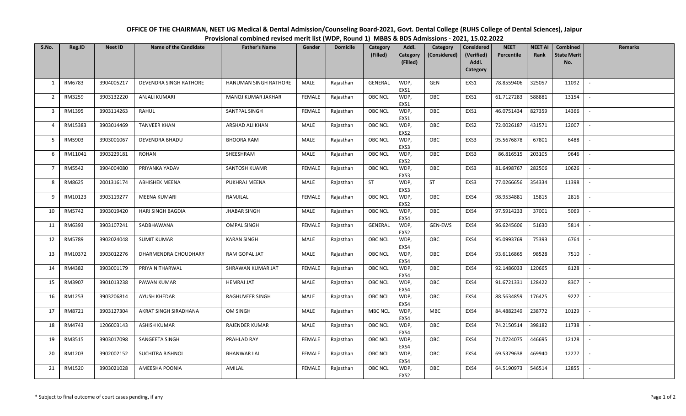| S.No.          | Reg.ID  | <b>Neet ID</b> | <b>Name of the Candidate</b> | <b>Father's Name</b>  | Gender        | <b>Domicile</b> | Category<br>(Filled) | Addl.<br>Category<br>(Filled) | Category<br>(Considered) | Considered<br>(Verified)<br>Addl.<br>Category | <b>NEET</b><br>Percentile | NEET AI<br>Rank | <b>Combined</b><br><b>State Merit</b><br>No. | <b>Remarks</b>           |
|----------------|---------|----------------|------------------------------|-----------------------|---------------|-----------------|----------------------|-------------------------------|--------------------------|-----------------------------------------------|---------------------------|-----------------|----------------------------------------------|--------------------------|
| 1              | RM6783  | 3904005217     | DEVENDRA SINGH RATHORE       | HANUMAN SINGH RATHORE | <b>MALE</b>   | Rajasthan       | GENERAL              | WDP,<br>EXS1                  | GEN                      | EXS1                                          | 78.8559406                | 325057          | 11092                                        | $\overline{\phantom{a}}$ |
| $\overline{2}$ | RM3259  | 3903132220     | <b>ANJALI KUMARI</b>         | MANOJ KUMAR JAKHAR    | <b>FEMALE</b> | Rajasthan       | OBC NCL              | WDP,<br>EXS1                  | OBC                      | EXS1                                          | 61.7127283                | 588881          | 13154                                        |                          |
| $\overline{3}$ | RM1395  | 3903114263     | RAHUL                        | SANTPAL SINGH         | FEMALE        | Rajasthan       | OBC NCL              | WDP,<br>EXS1                  | OBC                      | EXS1                                          | 46.0751434                | 827359          | 14366                                        |                          |
| 4              | RM15383 | 3903014469     | <b>TANVEER KHAN</b>          | ARSHAD ALI KHAN       | MALE          | Rajasthan       | OBC NCL              | WDP,<br>EXS2                  | OBC                      | EXS2                                          | 72.0026187                | 431571          | 12007                                        |                          |
| 5              | RM5903  | 3903001067     | <b>DEVENDRA BHADU</b>        | <b>BHOORA RAM</b>     | MALE          | Rajasthan       | <b>OBC NCL</b>       | WDP,<br>EXS3                  | OBC                      | EXS3                                          | 95.5676878                | 67801           | 6488                                         | $\sim$                   |
| 6              | RM11041 | 3903229181     | ROHAN                        | SHEESHRAM             | MALE          | Rajasthan       | OBC NCL              | WDP,<br>EXS2                  | OBC                      | EXS3                                          | 86.816515                 | 203105          | 9646                                         |                          |
| $\overline{7}$ | RM5542  | 3904004080     | PRIYANKA YADAV               | SANTOSH KUAMR         | <b>FEMALE</b> | Rajasthan       | OBC NCL              | WDP,<br>EXS3                  | OBC                      | EXS3                                          | 81.6498767                | 282506          | 10626                                        |                          |
| 8              | RM8625  | 2001316174     | <b>ABHISHEK MEENA</b>        | PUKHRAJ MEENA         | MALE          | Rajasthan       | ST                   | WDP,<br>EXS3                  | ST                       | EXS3                                          | 77.0266656                | 354334          | 11398                                        | $\sim$                   |
| 9              | RM10123 | 3903119277     | MEENA KUMARI                 | RAMJILAL              | <b>FEMALE</b> | Rajasthan       | OBC NCL              | WDP,<br>EXS2                  | OBC                      | EXS4                                          | 98.9534881                | 15815           | 2816                                         |                          |
| 10             | RM5742  | 3903019420     | HARI SINGH BAGDIA            | <b>JHABAR SINGH</b>   | MALE          | Rajasthan       | <b>OBC NCL</b>       | WDP,<br>EXS4                  | OBC                      | EXS4                                          | 97.5914233                | 37001           | 5069                                         |                          |
| 11             | RM6393  | 3903107241     | SADBHAWANA                   | <b>OMPAL SINGH</b>    | <b>FEMALE</b> | Rajasthan       | GENERAL              | WDP,<br>EXS2                  | <b>GEN-EWS</b>           | EXS4                                          | 96.6245606                | 51630           | 5814                                         | $\sim$                   |
| 12             | RM5789  | 3902024048     | <b>SUMIT KUMAR</b>           | <b>KARAN SINGH</b>    | MALE          | Rajasthan       | OBC NCL              | WDP,<br>EXS4                  | OBC                      | EXS4                                          | 95.0993769                | 75393           | 6764                                         |                          |
| 13             | RM10372 | 3903012276     | DHARMENDRA CHOUDHARY         | RAM GOPAL JAT         | MALE          | Rajasthan       | OBC NCL              | WDP,<br>EXS4                  | OBC                      | EXS4                                          | 93.6116865                | 98528           | 7510                                         |                          |
| 14             | RM4382  | 3903001179     | PRIYA NITHARWAL              | SHRAWAN KUMAR JAT     | <b>FEMALE</b> | Rajasthan       | <b>OBC NCL</b>       | WDP,<br>EXS4                  | OBC                      | EXS4                                          | 92.1486033                | 120665          | 8128                                         | $\overline{\phantom{a}}$ |
| 15             | RM3907  | 3901013238     | PAWAN KUMAR                  | <b>HEMRAJ JAT</b>     | MALE          | Rajasthan       | OBC NCL              | WDP,<br>EXS4                  | OBC                      | EXS4                                          | 91.6721331                | 128422          | 8307                                         | $\sim$                   |
| 16             | RM1253  | 3903206814     | AYUSH KHEDAR                 | RAGHUVEER SINGH       | MALE          | Rajasthan       | <b>OBC NCL</b>       | WDP,<br>EXS4                  | OBC                      | EXS4                                          | 88.5634859                | 176425          | 9227                                         |                          |
| 17             | RM8721  | 3903127304     | AKRAT SINGH SIRADHANA        | OM SINGH              | MALE          | Rajasthan       | <b>MBC NCL</b>       | WDP,<br>EXS4                  | MBC                      | EXS4                                          | 84.4882349                | 238772          | 10129                                        | $\sim$                   |
| 18             | RM4743  | 1206003143     | ASHISH KUMAR                 | RAJENDER KUMAR        | MALE          | Rajasthan       | OBC NCL              | WDP,<br>EXS4                  | OBC                      | EXS4                                          | 74.2150514                | 398182          | 11738                                        | $\sim$                   |
| 19             | RM3515  | 3903017098     | SANGEETA SINGH               | PRAHLAD RAY           | <b>FEMALE</b> | Rajasthan       | OBC NCL              | WDP,<br>EXS4                  | OBC                      | EXS4                                          | 71.0724075                | 446695          | 12128                                        |                          |
| 20             | RM1203  | 3902002152     | SUCHITRA BISHNOI             | <b>BHANWAR LAL</b>    | FEMALE        | Rajasthan       | OBC NCL              | WDP,<br>EXS4                  | OBC                      | EXS4                                          | 69.5379638                | 469940          | 12277                                        | $\sim$                   |
| 21             | RM1520  | 3903021028     | AMEESHA POONIA               | AMILAL                | FEMALE        | Rajasthan       | OBC NCL              | WDP,<br>FXS <sub>2</sub>      | OBC                      | EXS4                                          | 64.5190973                | 546514          | 12855                                        |                          |

## **OFFICE OF THE CHAIRMAN, NEET UG Medical & Dental Admission/Counseling Board‐2021, Govt. Dental College (RUHS College of Dental Sciences), Jaipur Provisional combined revised merit list (WDP, Round 1) MBBS & BDS Admissions ‐ 2021, 15.02.2022**